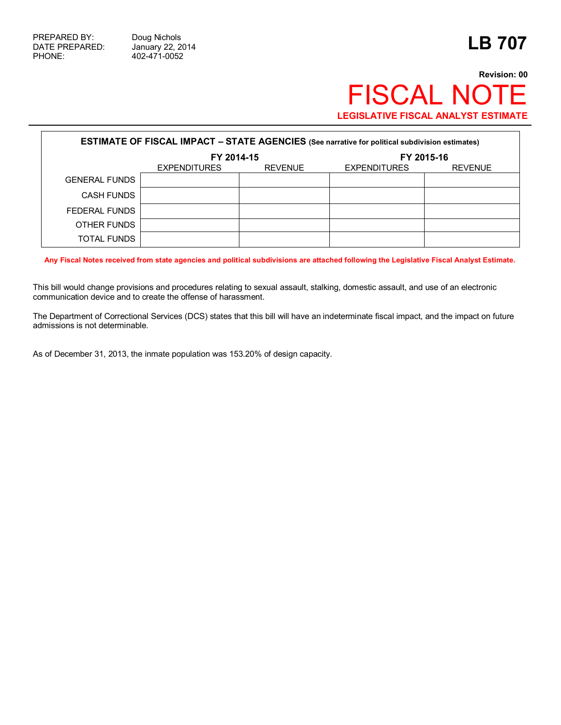## **Revision: 00** FISCAL NOTE **LEGISLATIVE FISCAL ANALYST ESTIMATE**

| <b>ESTIMATE OF FISCAL IMPACT - STATE AGENCIES</b> (See narrative for political subdivision estimates) |                     |                |                     |                |  |  |  |  |
|-------------------------------------------------------------------------------------------------------|---------------------|----------------|---------------------|----------------|--|--|--|--|
|                                                                                                       | FY 2014-15          |                | FY 2015-16          |                |  |  |  |  |
|                                                                                                       | <b>EXPENDITURES</b> | <b>REVENUE</b> | <b>EXPENDITURES</b> | <b>REVENUE</b> |  |  |  |  |
| <b>GENERAL FUNDS</b>                                                                                  |                     |                |                     |                |  |  |  |  |
| <b>CASH FUNDS</b>                                                                                     |                     |                |                     |                |  |  |  |  |
| FEDERAL FUNDS                                                                                         |                     |                |                     |                |  |  |  |  |
| OTHER FUNDS                                                                                           |                     |                |                     |                |  |  |  |  |
| <b>TOTAL FUNDS</b>                                                                                    |                     |                |                     |                |  |  |  |  |

**Any Fiscal Notes received from state agencies and political subdivisions are attached following the Legislative Fiscal Analyst Estimate.**

This bill would change provisions and procedures relating to sexual assault, stalking, domestic assault, and use of an electronic communication device and to create the offense of harassment.

The Department of Correctional Services (DCS) states that this bill will have an indeterminate fiscal impact, and the impact on future admissions is not determinable.

As of December 31, 2013, the inmate population was 153.20% of design capacity.